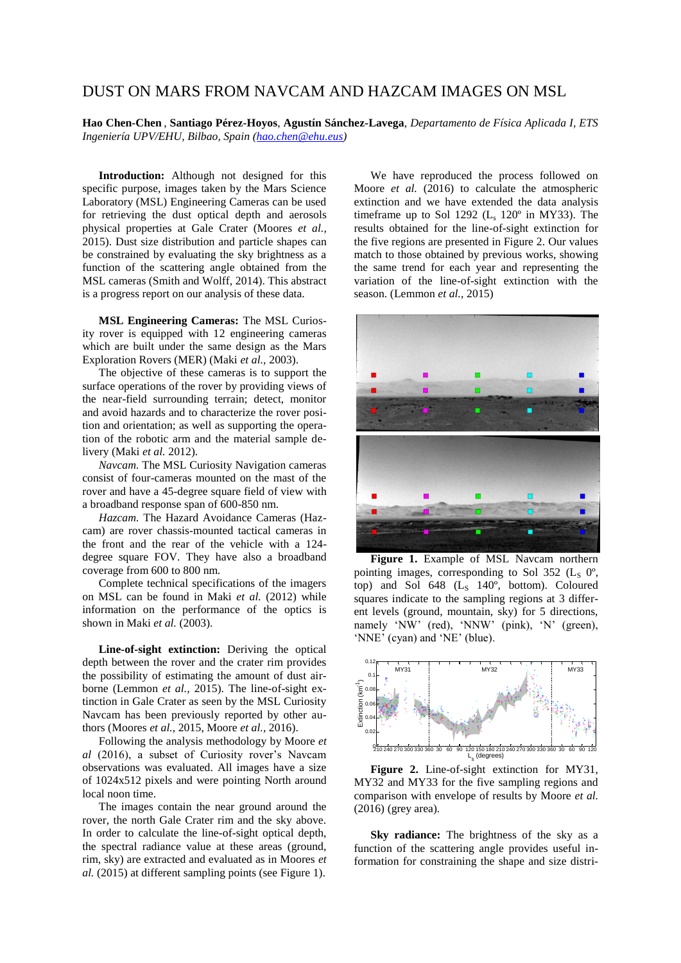## DUST ON MARS FROM NAVCAM AND HAZCAM IMAGES ON MSL

**Hao Chen-Chen** , **Santiago Pérez-Hoyos**, **Agustín Sánchez-Lavega**, *Departamento de Física Aplicada I, ETS Ingeniería UPV/EHU, Bilbao, Spain [\(hao.chen@ehu.eus\)](mailto:hao.chen@ehu.eus)*

**Introduction:** Although not designed for this specific purpose, images taken by the Mars Science Laboratory (MSL) Engineering Cameras can be used for retrieving the dust optical depth and aerosols physical properties at Gale Crater (Moores *et al.,*  2015). Dust size distribution and particle shapes can be constrained by evaluating the sky brightness as a function of the scattering angle obtained from the MSL cameras (Smith and Wolff, 2014). This abstract is a progress report on our analysis of these data.

**MSL Engineering Cameras:** The MSL Curiosity rover is equipped with 12 engineering cameras which are built under the same design as the Mars Exploration Rovers (MER) (Maki *et al.,* 2003).

The objective of these cameras is to support the surface operations of the rover by providing views of the near-field surrounding terrain; detect, monitor and avoid hazards and to characterize the rover position and orientation; as well as supporting the operation of the robotic arm and the material sample delivery (Maki *et al.* 2012).

*Navcam.* The MSL Curiosity Navigation cameras consist of four-cameras mounted on the mast of the rover and have a 45-degree square field of view with a broadband response span of 600-850 nm.

*Hazcam.* The Hazard Avoidance Cameras (Hazcam) are rover chassis-mounted tactical cameras in the front and the rear of the vehicle with a 124 degree square FOV. They have also a broadband coverage from 600 to 800 nm.

Complete technical specifications of the imagers on MSL can be found in Maki *et al.* (2012) while information on the performance of the optics is shown in Maki *et al.* (2003).

**Line-of-sight extinction:** Deriving the optical depth between the rover and the crater rim provides the possibility of estimating the amount of dust airborne (Lemmon *et al.,* 2015). The line-of-sight extinction in Gale Crater as seen by the MSL Curiosity Navcam has been previously reported by other authors (Moores *et al.,* 2015, Moore *et al.,* 2016).

Following the analysis methodology by Moore *et al* (2016), a subset of Curiosity rover's Navcam observations was evaluated. All images have a size of 1024x512 pixels and were pointing North around local noon time.

The images contain the near ground around the rover, the north Gale Crater rim and the sky above. In order to calculate the line-of-sight optical depth, the spectral radiance value at these areas (ground, rim, sky) are extracted and evaluated as in Moores *et al.* (2015) at different sampling points (see Figure 1).

We have reproduced the process followed on Moore *et al.* (2016) to calculate the atmospheric extinction and we have extended the data analysis timeframe up to Sol 1292  $(L_s 120^\circ)$  in MY33). The results obtained for the line-of-sight extinction for the five regions are presented in Figure 2. Our values match to those obtained by previous works, showing the same trend for each year and representing the variation of the line-of-sight extinction with the season. (Lemmon *et al.*, 2015)



**Figure 1.** Example of MSL Navcam northern pointing images, corresponding to Sol 352 ( $L_S$  0°, top) and Sol  $648$  (L<sub>S</sub>  $140^\circ$ , bottom). Coloured squares indicate to the sampling regions at 3 different levels (ground, mountain, sky) for 5 directions, namely 'NW' (red), 'NNW' (pink), 'N' (green), 'NNE' (cyan) and 'NE' (blue).



**Figure 2.** Line-of-sight extinction for MY31, MY32 and MY33 for the five sampling regions and comparison with envelope of results by Moore *et al.*  (2016) (grey area)*.*

**Sky radiance:** The brightness of the sky as a function of the scattering angle provides useful information for constraining the shape and size distri